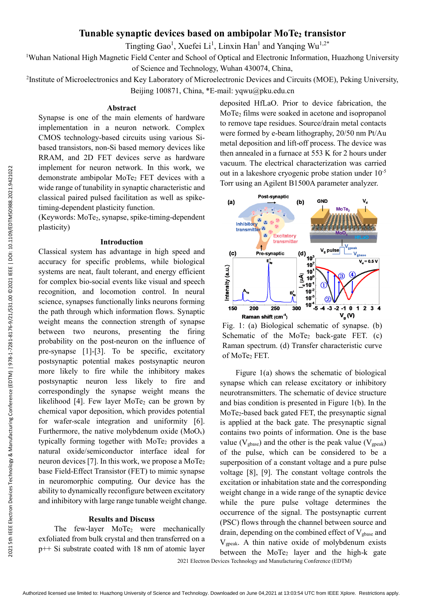# 2021 Sth IEEE Electron Devices Technology & Manufacturing Conference (EDTM) | 978-1-7281-8176-9/21/\$31.00 ©2021 IEEE | DOI: 10.1109/EDTM50988.2021.9421022 2021 5th IEEE Electron Devices Technology & Manufacturing Conference (EDTM) | 978-1-7281-8176-9/21/\$31.00 ©2021 IEEE | DOI: 10.1109/EDTM50988.2021.9421022

# **Tunable synaptic devices based on ambipolar MoTe2 transistor**

Tingting Gao<sup>1</sup>, Xuefei Li<sup>1</sup>, Linxin Han<sup>1</sup>

<sup>1</sup>Wuhan National High Magnetic Field Center and School of Optical and Electronic Information, Huazhong University

of Science and Technology, Wuhan 430074, China,

<sup>2</sup>Institute of Microelectronics and Key Laboratory of Microelectronic Devices and Circuits (MOE), Peking University,

Beijing 100871, China, \*E-mail: yqwu@pku.edu.cn

## **Abstract**

Synapse is one of the main elements of hardware implementation in a neuron network. Complex CMOS technology-based circuits using various Sibased transistors, non-Si based memory devices like RRAM, and 2D FET devices serve as hardware implement for neuron network. In this work, we demonstrate ambipolar MoTe<sub>2</sub> FET devices with a wide range of tunability in synaptic characteristic and classical paired pulsed facilitation as well as spiketiming-dependent plasticity function.

(Keywords: MoTe2, synapse, spike-timing-dependent plasticity)

# **Introduction**

Classical system has advantage in high speed and accuracy for specific problems, while biological systems are neat, fault tolerant, and energy efficient for complex bio-social events like visual and speech recognition, and locomotion control. In neural science, synapses functionally links neurons forming the path through which information flows. Synaptic weight means the connection strength of synapse between two neurons, presenting the firing probability on the post-neuron on the influence of pre-synapse [1]-[3]. To be specific, excitatory postsynaptic potential makes postsynaptic neuron more likely to fire while the inhibitory makes postsynaptic neuron less likely to fire and correspondingly the synapse weight means the likelihood  $[4]$ . Few layer MoTe<sub>2</sub> can be grown by chemical vapor deposition, which provides potential for wafer-scale integration and uniformity [6]. Furthermore, the native molybdenum oxide  $(MoO<sub>x</sub>)$ typically forming together with  $MoTe<sub>2</sub>$  provides a natural oxide/semiconductor interface ideal for neuron devices [7]. In this work, we propose a MoTe<sub>2</sub> base Field-Effect Transistor (FET) to mimic synapse in neuromorphic computing. Our device has the ability to dynamically reconfigure between excitatory and inhibitory with large range tunable weight change.

# **Results and Discuss**

The few-layer MoTe<sub>2</sub> were mechanically exfoliated from bulk crystal and then transferred on a p++ Si substrate coated with 18 nm of atomic layer

deposited HfLaO. Prior to device fabrication, the MoTe2 films were soaked in acetone and isopropanol to remove tape residues. Source/drain metal contacts were formed by e-beam lithography, 20/50 nm Pt/Au metal deposition and lift-off process. The device was then annealed in a furnace at 553 K for 2 hours under vacuum. The electrical characterization was carried out in a lakeshore cryogenic probe station under 10-5 Torr using an Agilent B1500A parameter analyzer.



Fig. 1: (a) Biological schematic of synapse. (b) Schematic of the  $MoTe<sub>2</sub>$  back-gate FET. (c) Raman spectrum. (d) Transfer characteristic curve of MoTe<sub>2</sub> FET.

Figure 1(a) shows the schematic of biological synapse which can release excitatory or inhibitory neurotransmitters. The schematic of device structure and bias condition is presented in Figure 1(b). In the MoTe2-based back gated FET, the presynaptic signal is applied at the back gate. The presynaptic signal contains two points of information. One is the base value ( $V_{\text{phase}}$ ) and the other is the peak value ( $V_{\text{peak}}$ ) of the pulse, which can be considered to be a superposition of a constant voltage and a pure pulse voltage [8], [9]. The constant voltage controls the excitation or inhabitation state and the corresponding weight change in a wide range of the synaptic device while the pure pulse voltage determines the occurrence of the signal. The postsynaptic current (PSC) flows through the channel between source and drain, depending on the combined effect of  $V_{\text{gbase}}$  and Vgpeak. A thin native oxide of molybdenum exists between the  $MoTe<sub>2</sub>$  layer and the high-k gate

2021 Electron Devices Technology and Manufacturing Conference (EDTM)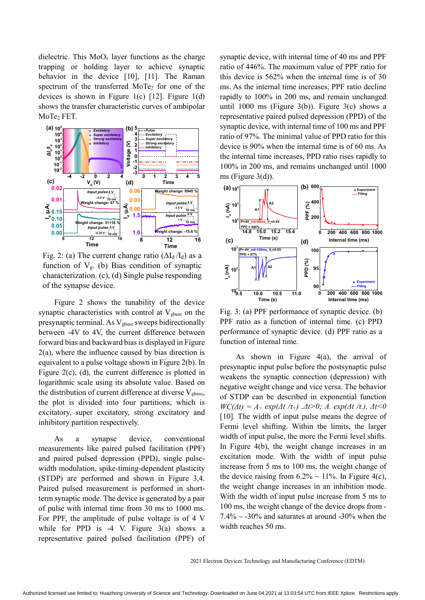dielectric. This  $MoO<sub>x</sub>$  layer functions as the charge trapping or holding layer to achieve synaptic behavior in the device [10], [11]. The Raman spectrum of the transferred MoTe<sub>2</sub> for one of the devices is shown in Figure 1(c)  $[12]$ . Figure 1(d) shows the transfer characteristic curves of ambipolar MoTe<sub>2</sub> FET.



Fig. 2: (a) The current change ratio  $(\Delta I_d/I_d)$  as a function of  $V<sub>g</sub>$ . (b) Bias condition of synaptic characterization. (c), (d) Single pulse responding of the synapse device.

Figure 2 shows the tunability of the device synaptic characteristics with control at  $V_{\text{phase}}$  on the presynaptic terminal. As V<sub>gbase</sub> sweeps bidirectionally between -4V to 4V, the current difference between forward bias and backward bias is displayed in Figure 2(a), where the influence caused by bias direction is equivalent to a pulse voltage shown in Figure 2(b). In Figure 2(c), (d), the current difference is plotted in logarithmic scale using its absolute value. Based on the distribution of current difference at diverse  $V_{\text{phase}}$ , the plot is divided into four partitions, which is excitatory, super excitatory, strong excitatory and inhibitory partition respectively.

As a synapse device, conventional measurements like paired pulsed facilitation (PPF) and paired pulsed depression (PPD), single pulsewidth modulation, spike-timing-dependent plasticity (STDP) are performed and shown in Figure 3,4. Paired pulsed measurement is performed in shortterm synaptic mode. The device is generated by a pair of pulse with internal time from 30 ms to 1000 ms. For PPF, the amplitude of pulse voltage is of 4 V while for PPD is  $-4$  V. Figure  $3(a)$  shows a representative paired pulsed facilitation (PPF) of synaptic device, with internal time of 40 ms and PPF ratio of 446%. The maximum value of PPF ratio for this device is 562% when the internal time is of 30 ms. As the internal time increases, PPF ratio decline rapidly to 100% in 200 ms, and remain unchanged until 1000 ms (Figure 3(b)). Figure 3(c) shows a representative paired pulsed depression (PPD) of the synaptic device, with internal time of 100 ms and PPF ratio of 97%. The minimal value of PPD ratio for this device is 90% when the internal time is of 60 ms. As the internal time increases, PPD ratio rises rapidly to 100% in 200 ms, and remains unchanged until 1000 ms (Figure  $3(d)$ ).



Fig. 3: (a) PPF performance of synaptic device. (b) PPF ratio as a function of internal time. (c) PPD performance of synaptic device. (d) PPF ratio as a function of internal time.

As shown in Figure 4(a), the arrival of presynaptic input pulse before the postsynaptic pulse weakens the synaptic connection (depression) with negative weight change and vice versa. The behavior of STDP can be described in exponential function  $WC(\Delta t) = A_+ exp(\Delta t / \tau_+)$ ,  $\Delta t > 0$ ;  $A_+ exp(\Delta t / \tau_+)$ ,  $\Delta t < 0$ [10]. The width of input pulse means the degree of Fermi level shifting. Within the limits, the larger width of input pulse, the more the Fermi level shifts. In Figure 4(b), the weight change increases in an excitation mode. With the width of input pulse increase from 5 ms to 100 ms, the weight change of the device raising from  $6.2\% \sim 11\%$ . In Figure 4(c), the weight change increases in an inhibition mode. With the width of input pulse increase from 5 ms to 100 ms, the weight change of the device drops from -  $7.4\% \sim -30\%$  and saturates at around -30% when the width reaches 50 ms.

2021 Electron Devices Technology and Manufacturing Conference (EDTM)